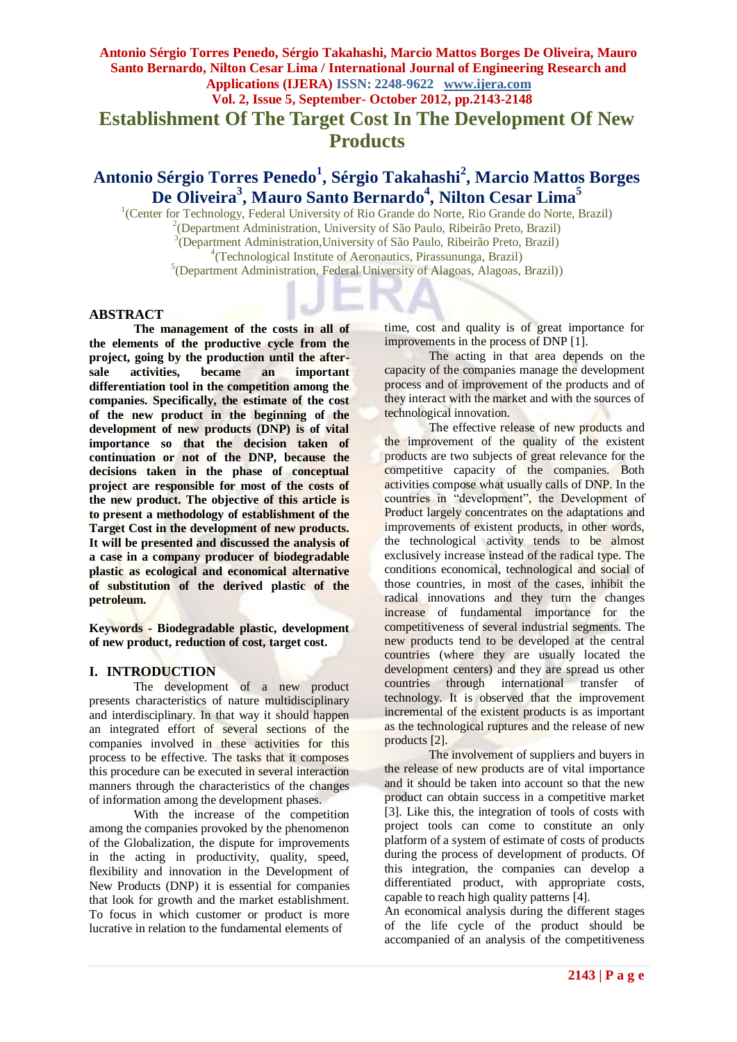### **Antonio Sérgio Torres Penedo, Sérgio Takahashi, Marcio Mattos Borges De Oliveira, Mauro Santo Bernardo, Nilton Cesar Lima / International Journal of Engineering Research and Applications (IJERA) ISSN: 2248-9622 www.ijera.com Vol. 2, Issue 5, September- October 2012, pp.2143-2148**

**Establishment Of The Target Cost In The Development Of New Products**

# **Antonio Sérgio Torres Penedo<sup>1</sup> , Sérgio Takahashi<sup>2</sup> , Marcio Mattos Borges De Oliveira<sup>3</sup> , Mauro Santo Bernardo<sup>4</sup> , Nilton Cesar Lima<sup>5</sup>**

<sup>1</sup>(Center for Technology, Federal University of Rio Grande do Norte, Rio Grande do Norte, Brazil) (Department Administration, University of São Paulo, Ribeirão Preto, Brazil) (Department Administration,University of São Paulo, Ribeirão Preto, Brazil) (Technological Institute of Aeronautics, Pirassununga, Brazil) (Department Administration, Federal University of Alagoas, Alagoas, Brazil))

#### **ABSTRACT**

**The management of the costs in all of the elements of the productive cycle from the project, going by the production until the aftersale activities, became an important differentiation tool in the competition among the companies. Specifically, the estimate of the cost of the new product in the beginning of the development of new products (DNP) is of vital importance so that the decision taken of continuation or not of the DNP, because the decisions taken in the phase of conceptual project are responsible for most of the costs of the new product. The objective of this article is to present a methodology of establishment of the Target Cost in the development of new products. It will be presented and discussed the analysis of a case in a company producer of biodegradable plastic as ecological and economical alternative of substitution of the derived plastic of the petroleum.**

**Keywords - Biodegradable plastic, development of new product, reduction of cost, target cost.**

### **I. INTRODUCTION**

The development of a new product presents characteristics of nature multidisciplinary and interdisciplinary. In that way it should happen an integrated effort of several sections of the companies involved in these activities for this process to be effective. The tasks that it composes this procedure can be executed in several interaction manners through the characteristics of the changes of information among the development phases.

With the increase of the competition among the companies provoked by the phenomenon of the Globalization, the dispute for improvements in the acting in productivity, quality, speed, flexibility and innovation in the Development of New Products (DNP) it is essential for companies that look for growth and the market establishment. To focus in which customer or product is more lucrative in relation to the fundamental elements of

time, cost and quality is of great importance for improvements in the process of DNP [1].

The acting in that area depends on the capacity of the companies manage the development process and of improvement of the products and of they interact with the market and with the sources of technological innovation.

The effective release of new products and the improvement of the quality of the existent products are two subjects of great relevance for the competitive capacity of the companies. Both activities compose what usually calls of DNP. In the countries in "development", the Development of Product largely concentrates on the adaptations and improvements of existent products, in other words, the technological activity tends to be almost exclusively increase instead of the radical type. The conditions economical, technological and social of those countries, in most of the cases, inhibit the radical innovations and they turn the changes increase of fundamental importance for the competitiveness of several industrial segments. The new products tend to be developed at the central countries (where they are usually located the development centers) and they are spread us other countries through international transfer of technology. It is observed that the improvement incremental of the existent products is as important as the technological ruptures and the release of new products [2].

The involvement of suppliers and buyers in the release of new products are of vital importance and it should be taken into account so that the new product can obtain success in a competitive market [3]. Like this, the integration of tools of costs with project tools can come to constitute an only platform of a system of estimate of costs of products during the process of development of products. Of this integration, the companies can develop a differentiated product, with appropriate costs, capable to reach high quality patterns [4].

An economical analysis during the different stages of the life cycle of the product should be accompanied of an analysis of the competitiveness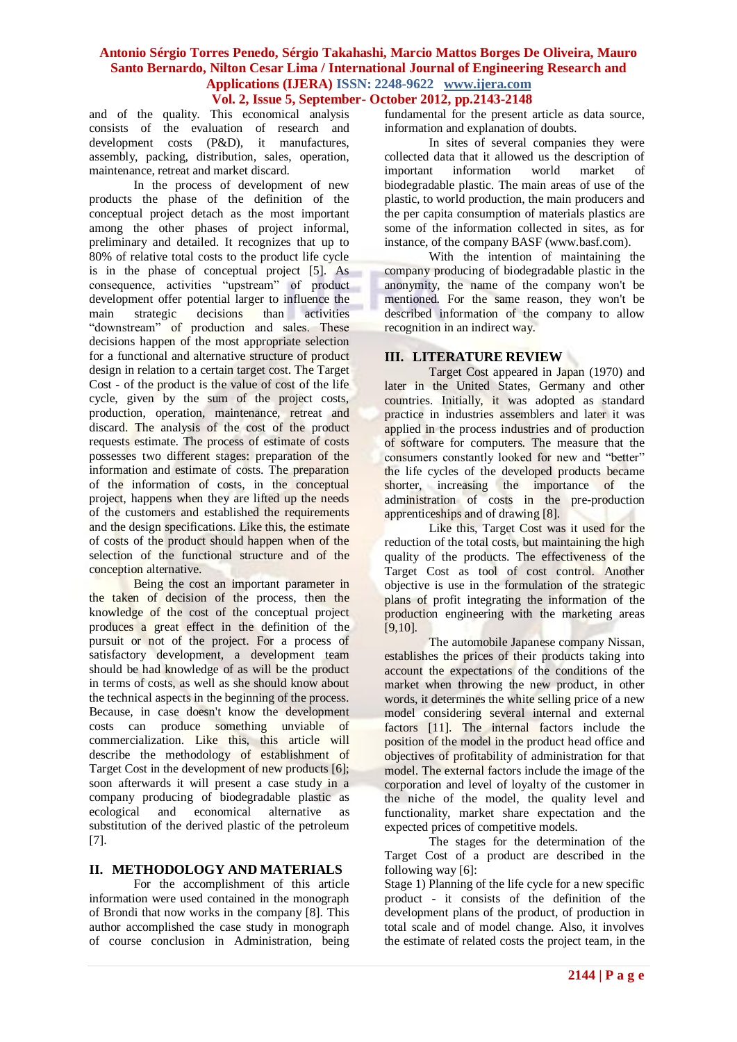# **Vol. 2, Issue 5, September- October 2012, pp.2143-2148**

and of the quality. This economical analysis consists of the evaluation of research and development costs (P&D), it manufactures, assembly, packing, distribution, sales, operation, maintenance, retreat and market discard.

In the process of development of new products the phase of the definition of the conceptual project detach as the most important among the other phases of project informal, preliminary and detailed. It recognizes that up to 80% of relative total costs to the product life cycle is in the phase of conceptual project [5]. As consequence, activities "upstream" of product development offer potential larger to influence the main strategic decisions than activities "downstream" of production and sales. These decisions happen of the most appropriate selection for a functional and alternative structure of product design in relation to a certain target cost. The Target Cost - of the product is the value of cost of the life cycle, given by the sum of the project costs, production, operation, maintenance, retreat and discard. The analysis of the cost of the product requests estimate. The process of estimate of costs possesses two different stages: preparation of the information and estimate of costs. The preparation of the information of costs, in the conceptual project, happens when they are lifted up the needs of the customers and established the requirements and the design specifications. Like this, the estimate of costs of the product should happen when of the selection of the functional structure and of the conception alternative.

Being the cost an important parameter in the taken of decision of the process, then the knowledge of the cost of the conceptual project produces a great effect in the definition of the pursuit or not of the project. For a process of satisfactory development, a development team should be had knowledge of as will be the product in terms of costs, as well as she should know about the technical aspects in the beginning of the process. Because, in case doesn't know the development costs can produce something unviable of commercialization. Like this, this article will describe the methodology of establishment of Target Cost in the development of new products [6]; soon afterwards it will present a case study in a company producing of biodegradable plastic as ecological and economical alternative as substitution of the derived plastic of the petroleum [7].

### **II. METHODOLOGY AND MATERIALS**

For the accomplishment of this article information were used contained in the monograph of Brondi that now works in the company [8]. This author accomplished the case study in monograph of course conclusion in Administration, being fundamental for the present article as data source, information and explanation of doubts.

In sites of several companies they were collected data that it allowed us the description of important information world market of biodegradable plastic. The main areas of use of the plastic, to world production, the main producers and the per capita consumption of materials plastics are some of the information collected in sites, as for instance, of the company BASF (www.basf.com).

With the intention of maintaining the company producing of biodegradable plastic in the anonymity, the name of the company won't be mentioned. For the same reason, they won't be described information of the company to allow recognition in an indirect way.

### **III. LITERATURE REVIEW**

Target Cost appeared in Japan (1970) and later in the United States, Germany and other countries. Initially, it was adopted as standard practice in industries assemblers and later it was applied in the process industries and of production of software for computers. The measure that the consumers constantly looked for new and "better" the life cycles of the developed products became shorter, increasing the importance of the administration of costs in the pre-production apprenticeships and of drawing [8].

Like this, Target Cost was it used for the reduction of the total costs, but maintaining the high quality of the products. The effectiveness of the Target Cost as tool of cost control. Another objective is use in the formulation of the strategic plans of profit integrating the information of the production engineering with the marketing areas [9,10].

The automobile Japanese company Nissan, establishes the prices of their products taking into account the expectations of the conditions of the market when throwing the new product, in other words, it determines the white selling price of a new model considering several internal and external factors [11]. The internal factors include the position of the model in the product head office and objectives of profitability of administration for that model. The external factors include the image of the corporation and level of loyalty of the customer in the niche of the model, the quality level and functionality, market share expectation and the expected prices of competitive models.

The stages for the determination of the Target Cost of a product are described in the following way [6]:

Stage 1) Planning of the life cycle for a new specific product - it consists of the definition of the development plans of the product, of production in total scale and of model change. Also, it involves the estimate of related costs the project team, in the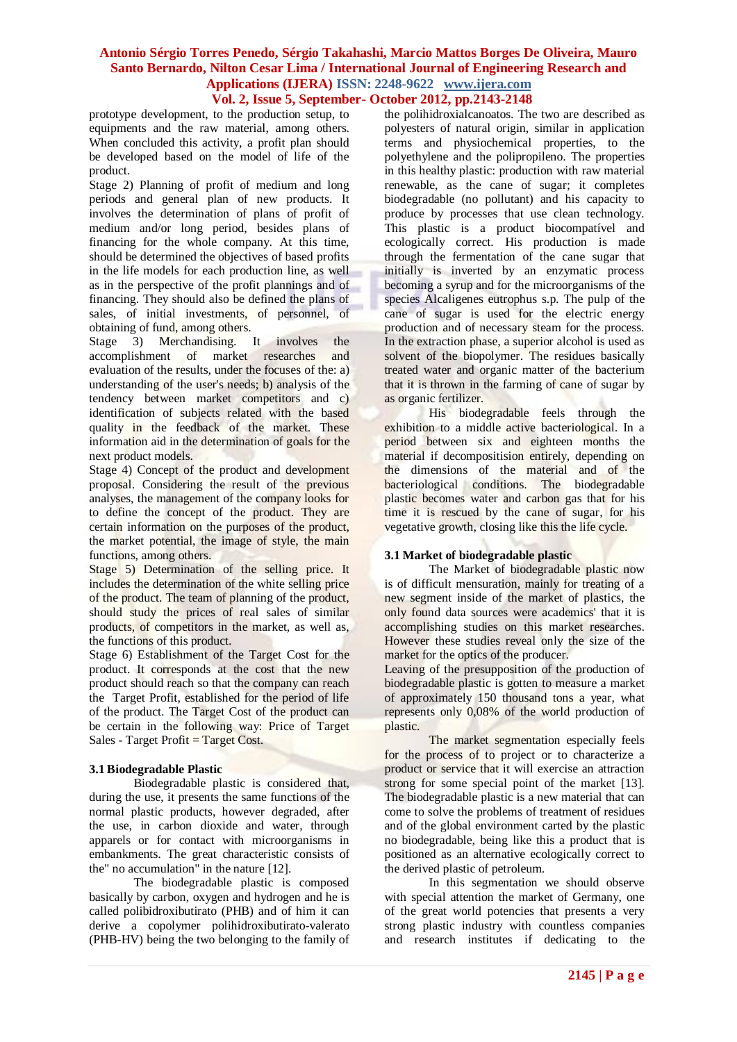## **Vol. 2, Issue 5, September- October 2012, pp.2143-2148**

prototype development, to the production setup, to equipments and the raw material, among others. When concluded this activity, a profit plan should be developed based on the model of life of the product.

Stage 2) Planning of profit of medium and long periods and general plan of new products. It involves the determination of plans of profit of medium and/or long period, besides plans of financing for the whole company. At this time, should be determined the objectives of based profits in the life models for each production line, as well as in the perspective of the profit plannings and of financing. They should also be defined the plans of sales, of initial investments, of personnel, of

obtaining of fund, among others.<br>Stage 3) Merchandising. It involves Stage 3) Merchandising. It involves the accomplishment of market researches and evaluation of the results, under the focuses of the: a) understanding of the user's needs; b) analysis of the tendency between market competitors and c) identification of subjects related with the based quality in the feedback of the market. These information aid in the determination of goals for the next product models.

Stage 4) Concept of the product and development proposal. Considering the result of the previous analyses, the management of the company looks for to define the concept of the product. They are certain information on the purposes of the product, the market potential, the image of style, the main functions, among others.

Stage 5) Determination of the selling price. It includes the determination of the white selling price of the product. The team of planning of the product, should study the prices of real sales of similar products, of competitors in the market, as well as, the functions of this product.

Stage 6) Establishment of the Target Cost for the product. It corresponds at the cost that the new product should reach so that the company can reach the Target Profit, established for the period of life of the product. The Target Cost of the product can be certain in the following way: Price of Target Sales - Target Profit  $=$  Target Cost.

#### **3.1 Biodegradable Plastic**

Biodegradable plastic is considered that, during the use, it presents the same functions of the normal plastic products, however degraded, after the use, in carbon dioxide and water, through apparels or for contact with microorganisms in embankments. The great characteristic consists of the" no accumulation" in the nature [12].

The biodegradable plastic is composed basically by carbon, oxygen and hydrogen and he is called polibidroxibutirato (PHB) and of him it can derive a copolymer polihidroxibutirato-valerato (PHB-HV) being the two belonging to the family of the polihidroxialcanoatos. The two are described as polyesters of natural origin, similar in application terms and physiochemical properties, to the polyethylene and the polipropileno. The properties in this healthy plastic: production with raw material renewable, as the cane of sugar; it completes biodegradable (no pollutant) and his capacity to produce by processes that use clean technology. This plastic is a product biocompatível and ecologically correct. His production is made through the fermentation of the cane sugar that initially is inverted by an enzymatic process becoming a syrup and for the microorganisms of the species Alcaligenes eutrophus s.p. The pulp of the cane of sugar is used for the electric energy production and of necessary steam for the process. In the extraction phase, a superior alcohol is used as solvent of the biopolymer. The residues basically treated water and organic matter of the bacterium that it is thrown in the farming of cane of sugar by as organic fertilizer.

His biodegradable feels through the exhibition to a middle active bacteriological. In a period between six and eighteen months the material if decompositision entirely, depending on the dimensions of the material and of the bacteriological conditions. The biodegradable plastic becomes water and carbon gas that for his time it is rescued by the cane of sugar, for his vegetative growth, closing like this the life cycle.

#### **3.1 Market of biodegradable plastic**

The Market of biodegradable plastic now is of difficult mensuration, mainly for treating of a new segment inside of the market of plastics, the only found data sources were academics' that it is accomplishing studies on this market researches. However these studies reveal only the size of the market for the optics of the producer.

Leaving of the presupposition of the production of biodegradable plastic is gotten to measure a market of approximately 150 thousand tons a year, what represents only 0,08% of the world production of plastic.

The market segmentation especially feels for the process of to project or to characterize a product or service that it will exercise an attraction strong for some special point of the market [13]. The biodegradable plastic is a new material that can come to solve the problems of treatment of residues and of the global environment carted by the plastic no biodegradable, being like this a product that is positioned as an alternative ecologically correct to the derived plastic of petroleum.

In this segmentation we should observe with special attention the market of Germany, one of the great world potencies that presents a very strong plastic industry with countless companies and research institutes if dedicating to the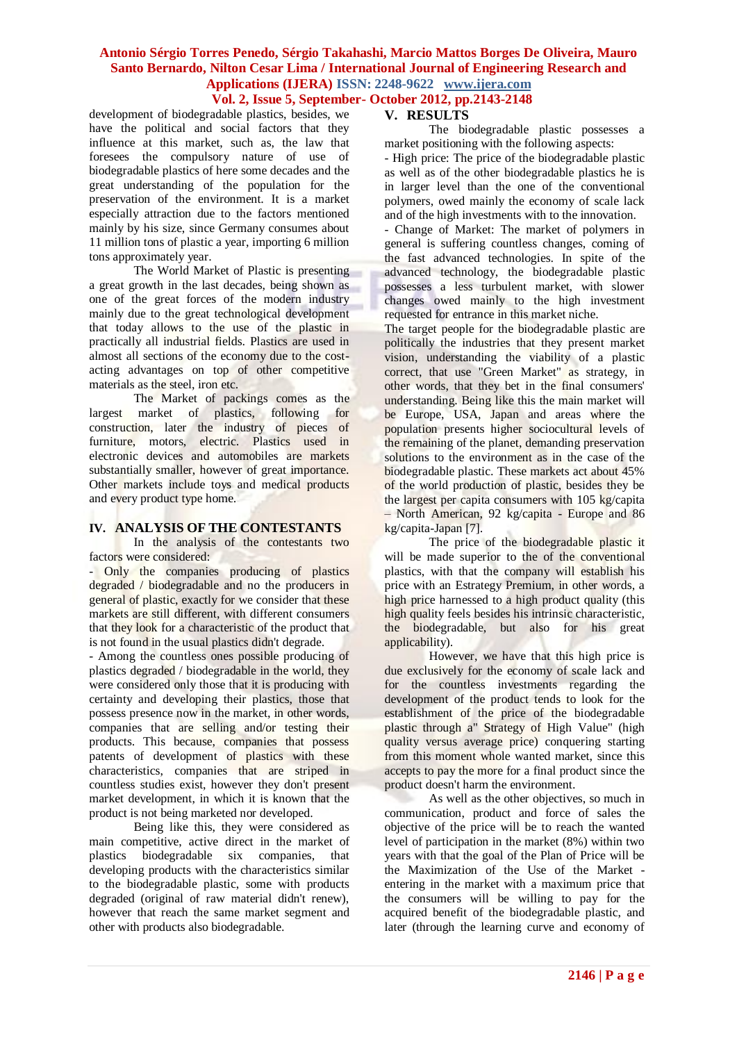### **Vol. 2, Issue 5, September- October 2012, pp.2143-2148**

development of biodegradable plastics, besides, we have the political and social factors that they influence at this market, such as, the law that foresees the compulsory nature of use of biodegradable plastics of here some decades and the great understanding of the population for the preservation of the environment. It is a market especially attraction due to the factors mentioned mainly by his size, since Germany consumes about 11 million tons of plastic a year, importing 6 million tons approximately year.

The World Market of Plastic is presenting a great growth in the last decades, being shown as one of the great forces of the modern industry mainly due to the great technological development that today allows to the use of the plastic in practically all industrial fields. Plastics are used in almost all sections of the economy due to the costacting advantages on top of other competitive materials as the steel, iron etc.

The Market of packings comes as the largest market of plastics, following for construction, later the industry of pieces of furniture, motors, electric. Plastics used in electronic devices and automobiles are markets substantially smaller, however of great importance. Other markets include toys and medical products and every product type home.

### **IV. ANALYSIS OF THE CONTESTANTS**

In the analysis of the contestants two factors were considered:

- Only the companies producing of plastics degraded / biodegradable and no the producers in general of plastic, exactly for we consider that these markets are still different, with different consumers that they look for a characteristic of the product that is not found in the usual plastics didn't degrade.

- Among the countless ones possible producing of plastics degraded / biodegradable in the world, they were considered only those that it is producing with certainty and developing their plastics, those that possess presence now in the market, in other words, companies that are selling and/or testing their products. This because, companies that possess patents of development of plastics with these characteristics, companies that are striped in countless studies exist, however they don't present market development, in which it is known that the product is not being marketed nor developed.

Being like this, they were considered as main competitive, active direct in the market of plastics biodegradable six companies, that developing products with the characteristics similar to the biodegradable plastic, some with products degraded (original of raw material didn't renew), however that reach the same market segment and other with products also biodegradable.

### **V. RESULTS**

The biodegradable plastic possesses a market positioning with the following aspects:

- High price: The price of the biodegradable plastic as well as of the other biodegradable plastics he is in larger level than the one of the conventional polymers, owed mainly the economy of scale lack and of the high investments with to the innovation.

- Change of Market: The market of polymers in general is suffering countless changes, coming of the fast advanced technologies. In spite of the advanced technology, the biodegradable plastic possesses a less turbulent market, with slower changes owed mainly to the high investment requested for entrance in this market niche.

The target people for the biodegradable plastic are politically the industries that they present market vision, understanding the viability of a plastic correct, that use "Green Market" as strategy, in other words, that they bet in the final consumers' understanding. Being like this the main market will be Europe, USA, Japan and areas where the population presents higher sociocultural levels of the remaining of the planet, demanding preservation solutions to the environment as in the case of the biodegradable plastic. These markets act about 45% of the world production of plastic, besides they be the largest per capita consumers with 105 kg/capita – North American, 92 kg/capita - Europe and 86 kg/capita-Japan [7].

The price of the biodegradable plastic it will be made superior to the of the conventional plastics, with that the company will establish his price with an Estrategy Premium, in other words, a high price harnessed to a high product quality (this high quality feels besides his intrinsic characteristic, the biodegradable, but also for his great applicability).

However, we have that this high price is due exclusively for the economy of scale lack and for the countless investments regarding the development of the product tends to look for the establishment of the price of the biodegradable plastic through a" Strategy of High Value" (high quality versus average price) conquering starting from this moment whole wanted market, since this accepts to pay the more for a final product since the product doesn't harm the environment.

As well as the other objectives, so much in communication, product and force of sales the objective of the price will be to reach the wanted level of participation in the market (8%) within two years with that the goal of the Plan of Price will be the Maximization of the Use of the Market entering in the market with a maximum price that the consumers will be willing to pay for the acquired benefit of the biodegradable plastic, and later (through the learning curve and economy of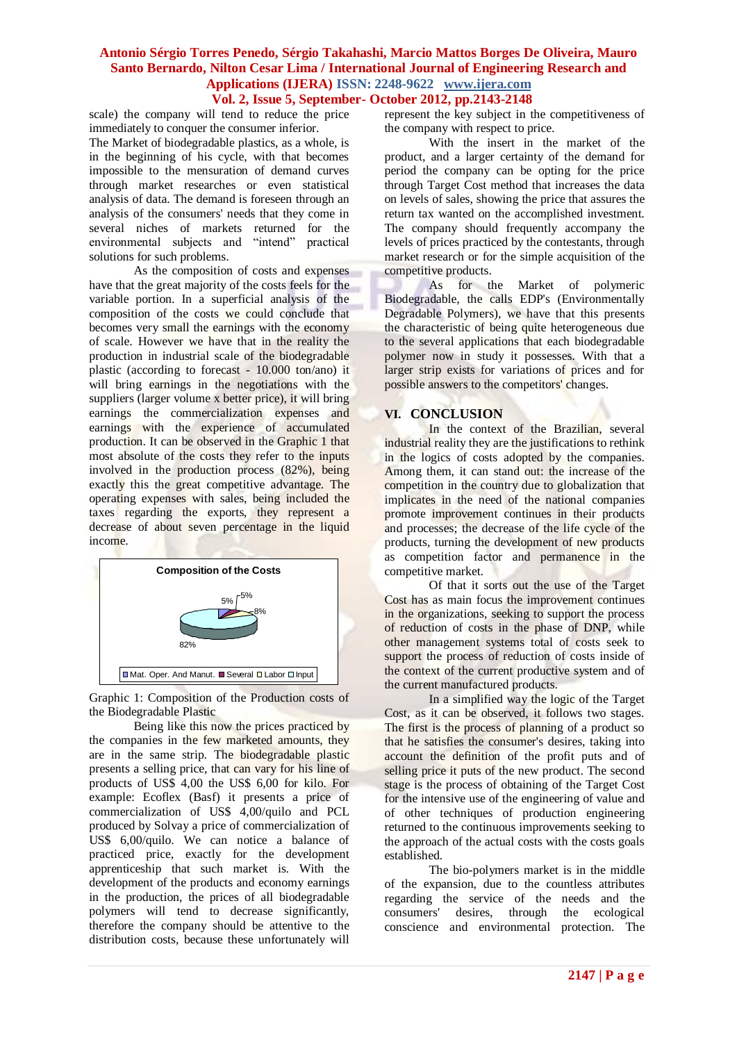# **Vol. 2, Issue 5, September- October 2012, pp.2143-2148**

scale) the company will tend to reduce the price immediately to conquer the consumer inferior.

The Market of biodegradable plastics, as a whole, is in the beginning of his cycle, with that becomes impossible to the mensuration of demand curves through market researches or even statistical analysis of data. The demand is foreseen through an analysis of the consumers' needs that they come in several niches of markets returned for the environmental subjects and "intend" practical solutions for such problems.

As the composition of costs and expenses have that the great majority of the costs feels for the variable portion. In a superficial analysis of the composition of the costs we could conclude that becomes very small the earnings with the economy of scale. However we have that in the reality the production in industrial scale of the biodegradable plastic (according to forecast - 10.000 ton/ano) it will bring earnings in the negotiations with the suppliers (larger volume x better price), it will bring earnings the commercialization expenses and earnings with the experience of accumulated production. It can be observed in the Graphic 1 that most absolute of the costs they refer to the inputs involved in the production process (82%), being exactly this the great competitive advantage. The operating expenses with sales, being included the taxes regarding the exports, they represent a decrease of about seven percentage in the liquid income.



Graphic 1: Composition of the Production costs of the Biodegradable Plastic

Being like this now the prices practiced by the companies in the few marketed amounts, they are in the same strip. The biodegradable plastic presents a selling price, that can vary for his line of products of US\$ 4,00 the US\$ 6,00 for kilo. For example: Ecoflex (Basf) it presents a price of commercialization of US\$ 4,00/quilo and PCL produced by Solvay a price of commercialization of US\$ 6,00/quilo. We can notice a balance of practiced price, exactly for the development apprenticeship that such market is. With the development of the products and economy earnings in the production, the prices of all biodegradable polymers will tend to decrease significantly, therefore the company should be attentive to the distribution costs, because these unfortunately will

represent the key subject in the competitiveness of the company with respect to price.

With the insert in the market of the product, and a larger certainty of the demand for period the company can be opting for the price through Target Cost method that increases the data on levels of sales, showing the price that assures the return tax wanted on the accomplished investment. The company should frequently accompany the levels of prices practiced by the contestants, through market research or for the simple acquisition of the competitive products.

As for the Market of polymeric Biodegradable, the calls EDP's (Environmentally Degradable Polymers), we have that this presents the characteristic of being quite heterogeneous due to the several applications that each biodegradable polymer now in study it possesses. With that a larger strip exists for variations of prices and for possible answers to the competitors' changes.

### **VI. CONCLUSION**

In the context of the Brazilian, several industrial reality they are the justifications to rethink in the logics of costs adopted by the companies. Among them, it can stand out: the increase of the competition in the country due to globalization that implicates in the need of the national companies promote improvement continues in their products and processes; the decrease of the life cycle of the products, turning the development of new products as competition factor and permanence in the competitive market.

Of that it sorts out the use of the Target Cost has as main focus the improvement continues in the organizations, seeking to support the process of reduction of costs in the phase of DNP, while other management systems total of costs seek to support the process of reduction of costs inside of the context of the current productive system and of the current manufactured products.

In a simplified way the logic of the Target Cost, as it can be observed, it follows two stages. The first is the process of planning of a product so that he satisfies the consumer's desires, taking into account the definition of the profit puts and of selling price it puts of the new product. The second stage is the process of obtaining of the Target Cost for the intensive use of the engineering of value and of other techniques of production engineering returned to the continuous improvements seeking to the approach of the actual costs with the costs goals established.

The bio-polymers market is in the middle of the expansion, due to the countless attributes regarding the service of the needs and the consumers' desires, through the ecological conscience and environmental protection. The